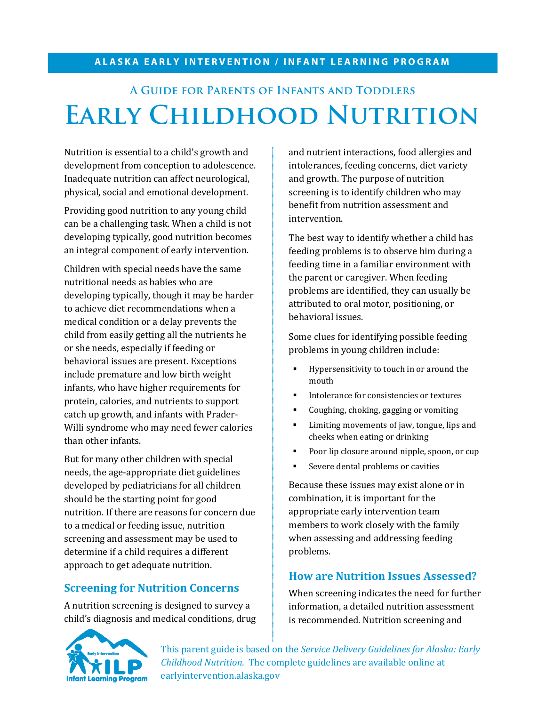#### **ALASKA EARLY INTERVENTION / INFANT LEARNING PROGRAM**

# **A Guide for Parents of Infants and Toddlers Early Childhood Nutrition**

Nutrition is essential to a child's growth and development from conception to adolescence. Inadequate nutrition can affect neurological, physical, social and emotional development.

Providing good nutrition to any young child can be a challenging task. When a child is not developing typically, good nutrition becomes an integral component of early intervention.

Children with special needs have the same nutritional needs as babies who are developing typically, though it may be harder to achieve diet recommendations when a medical condition or a delay prevents the child from easily getting all the nutrients he or she needs, especially if feeding or behavioral issues are present. Exceptions include premature and low birth weight infants, who have higher requirements for protein, calories, and nutrients to support catch up growth, and infants with Prader-Willi syndrome who may need fewer calories than other infants.

But for many other children with special needs, the age-appropriate diet guidelines developed by pediatricians for all children should be the starting point for good nutrition. If there are reasons for concern due to a medical or feeding issue, nutrition screening and assessment may be used to determine if a child requires a different approach to get adequate nutrition.

# **Screening for Nutrition Concerns**

A nutrition screening is designed to survey a child's diagnosis and medical conditions, drug

and nutrient interactions, food allergies and intolerances, feeding concerns, diet variety and growth. The purpose of nutrition screening is to identify children who may benefit from nutrition assessment and intervention.

The best way to identify whether a child has feeding problems is to observe him during a feeding time in a familiar environment with the parent or caregiver. When feeding problems are identified, they can usually be attributed to oral motor, positioning, or behavioral issues.

Some clues for identifying possible feeding problems in young children include:

- **Hypersensitivity to touch in or around the** mouth
- Intolerance for consistencies or textures
- Coughing, choking, gagging or vomiting
- **EXECUTE:** Limiting movements of jaw, tongue, lips and cheeks when eating or drinking
- **Poor lip closure around nipple, spoon, or cup**
- **Severe dental problems or cavities**

Because these issues may exist alone or in combination, it is important for the appropriate early intervention team members to work closely with the family when assessing and addressing feeding problems.

#### **How are Nutrition Issues Assessed?**

When screening indicates the need for further information, a detailed nutrition assessment is recommended. Nutrition screening and



This parent guide is based on the *Service Delivery Guidelines for Alaska: Early Childhood Nutrition.* The complete guidelines are available online at earlyintervention.alaska.gov